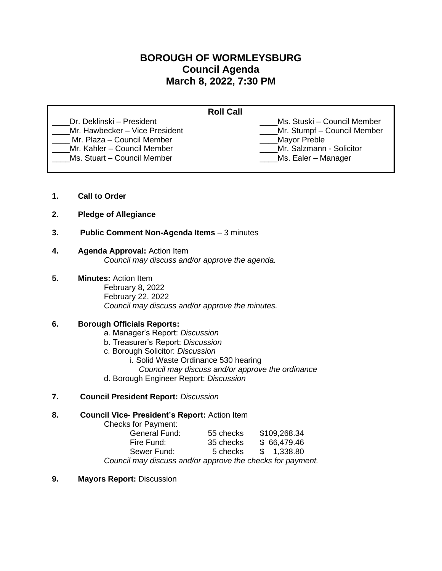# **BOROUGH OF WORMLEYSBURG Council Agenda March 8, 2022, 7:30 PM**

| Dr. Deklinski – President<br>Ms. Stuski – Council Member                                                                                                    |                                | <b>Roll Call</b>            |
|-------------------------------------------------------------------------------------------------------------------------------------------------------------|--------------------------------|-----------------------------|
| Mr. Plaza - Council Member<br>Mayor Preble<br>Mr. Salzmann - Solicitor<br>Mr. Kahler - Council Member<br>Ms. Stuart - Council Member<br>Ms. Ealer - Manager | Mr. Hawbecker - Vice President | Mr. Stumpf - Council Member |

- **1. Call to Order**
- **2. Pledge of Allegiance**
- **3. Public Comment Non-Agenda Items** 3 minutes

# **4. Agenda Approval:** Action Item

*Council may discuss and/or approve the agenda.*

- **5. Minutes:** Action Item
	- February 8, 2022 February 22, 2022 *Council may discuss and/or approve the minutes.*

# **6. Borough Officials Reports:**

- a. Manager's Report: *Discussion*
- b. Treasurer's Report: *Discussion*
- c. Borough Solicitor: *Discussion*
	- i. Solid Waste Ordinance 530 hearing
	- *Council may discuss and/or approve the ordinance*
- d. Borough Engineer Report: *Discussion*
- **7. Council President Report:** *Discussion*

### **8. Council Vice- President's Report:** Action Item

Checks for Payment:

| General Fund:                                              | 55 checks | \$109,268.34 |  |
|------------------------------------------------------------|-----------|--------------|--|
| Fire Fund:                                                 | 35 checks | \$66,479.46  |  |
| Sewer Fund:                                                | 5 checks  | \$ 1,338.80  |  |
| Council may discuss and/or approve the checks for payment. |           |              |  |

**9. Mayors Report:** Discussion